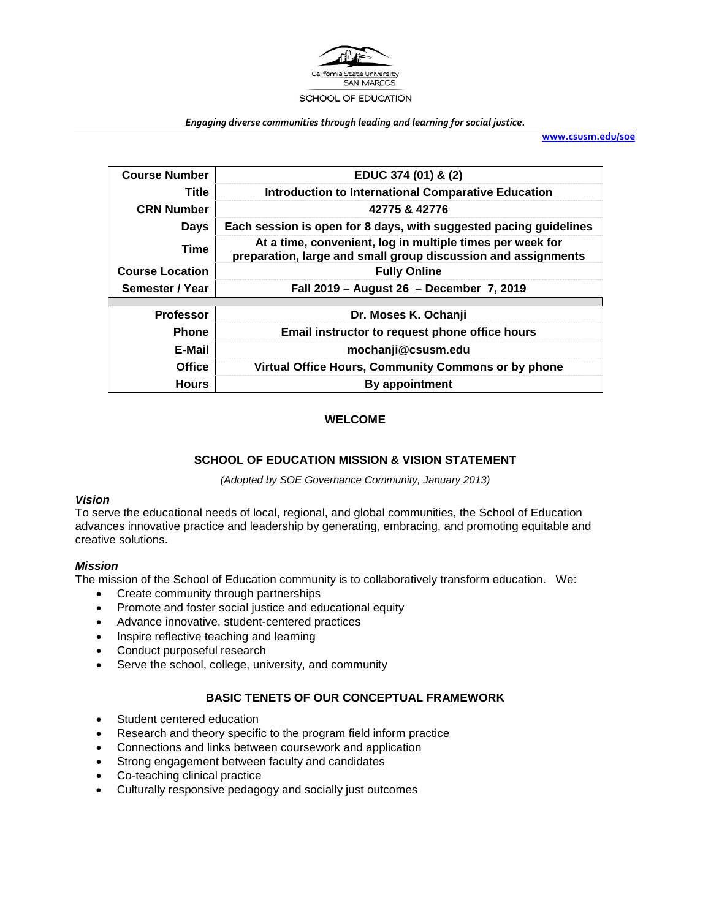

#### *Engaging diverse communities through leading and learning for social justice.*

**[www.csusm.edu/soe](http://www.csusm.edu/soe)**

| <b>Course Number</b>   | EDUC 374 (01) & (2)                                                                                                        |
|------------------------|----------------------------------------------------------------------------------------------------------------------------|
| Title                  | <b>Introduction to International Comparative Education</b>                                                                 |
| <b>CRN Number</b>      | 42775 & 42776                                                                                                              |
| <b>Days</b>            | Each session is open for 8 days, with suggested pacing guidelines                                                          |
| <b>Time</b>            | At a time, convenient, log in multiple times per week for<br>preparation, large and small group discussion and assignments |
| <b>Course Location</b> | <b>Fully Online</b>                                                                                                        |
| Semester / Year        | Fall 2019 - August 26 - December 7, 2019                                                                                   |
|                        |                                                                                                                            |
| <b>Professor</b>       | Dr. Moses K. Ochanji                                                                                                       |
| <b>Phone</b>           | Email instructor to request phone office hours                                                                             |
| E-Mail                 | mochanji@csusm.edu                                                                                                         |
| <b>Office</b>          | Virtual Office Hours, Community Commons or by phone                                                                        |
|                        |                                                                                                                            |

## **WELCOME**

### **SCHOOL OF EDUCATION MISSION & VISION STATEMENT**

*(Adopted by SOE Governance Community, January 2013)*

#### *Vision*

To serve the educational needs of local, regional, and global communities, the School of Education advances innovative practice and leadership by generating, embracing, and promoting equitable and creative solutions.

#### *Mission*

The mission of the School of Education community is to collaboratively transform education. We:

- Create community through partnerships
- Promote and foster social justice and educational equity
- Advance innovative, student-centered practices
- Inspire reflective teaching and learning
- Conduct purposeful research
- Serve the school, college, university, and community

#### **BASIC TENETS OF OUR CONCEPTUAL FRAMEWORK**

- Student centered education
- Research and theory specific to the program field inform practice
- Connections and links between coursework and application
- Strong engagement between faculty and candidates
- Co-teaching clinical practice
- Culturally responsive pedagogy and socially just outcomes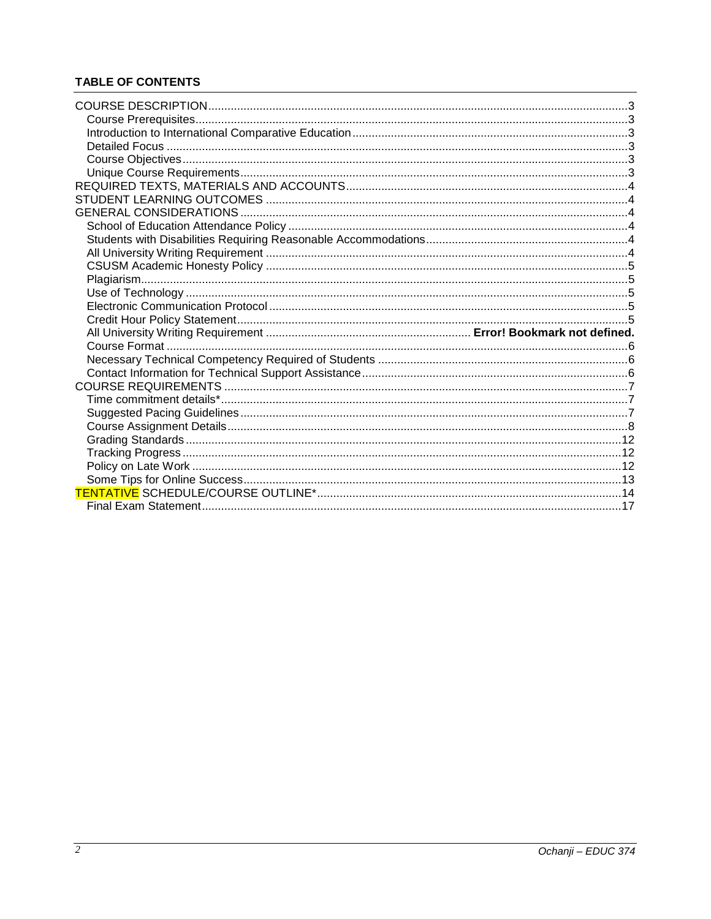# **TABLE OF CONTENTS**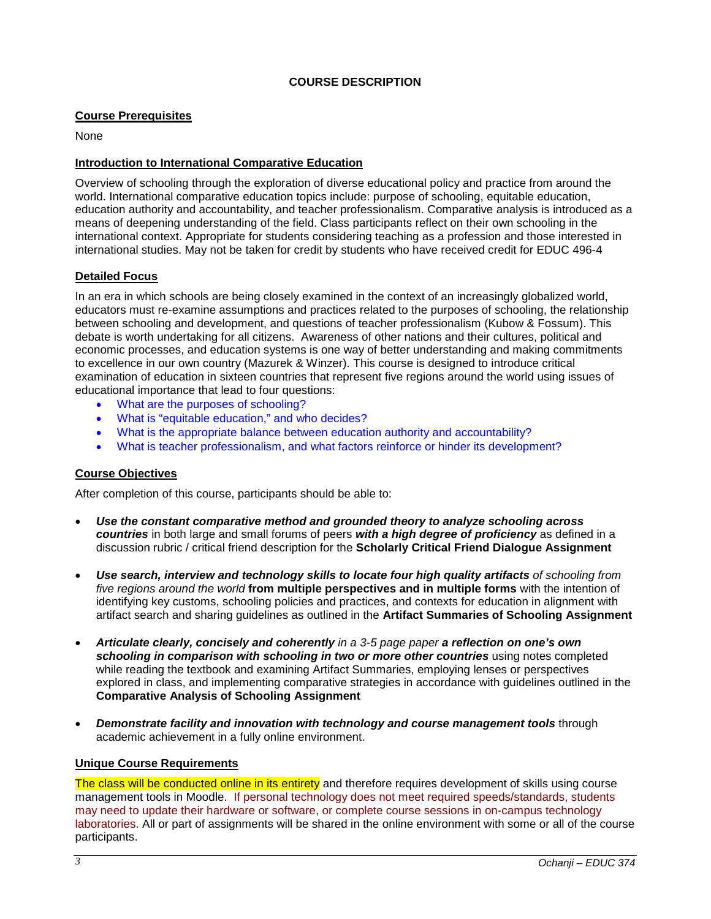## **COURSE DESCRIPTION**

### <span id="page-2-1"></span><span id="page-2-0"></span>**Course Prerequisites**

None

### <span id="page-2-2"></span>**Introduction to International Comparative Education**

Overview of schooling through the exploration of diverse educational policy and practice from around the world. International comparative education topics include: purpose of schooling, equitable education, education authority and accountability, and teacher professionalism. Comparative analysis is introduced as a means of deepening understanding of the field. Class participants reflect on their own schooling in the international context. Appropriate for students considering teaching as a profession and those interested in international studies. May not be taken for credit by students who have received credit for EDUC 496-4

### <span id="page-2-3"></span>**Detailed Focus**

In an era in which schools are being closely examined in the context of an increasingly globalized world, educators must re-examine assumptions and practices related to the purposes of schooling, the relationship between schooling and development, and questions of teacher professionalism (Kubow & Fossum). This debate is worth undertaking for all citizens. Awareness of other nations and their cultures, political and economic processes, and education systems is one way of better understanding and making commitments to excellence in our own country (Mazurek & Winzer). This course is designed to introduce critical examination of education in sixteen countries that represent five regions around the world using issues of educational importance that lead to four questions:

- What are the purposes of schooling?
- What is "equitable education," and who decides?
- What is the appropriate balance between education authority and accountability?
- What is teacher professionalism, and what factors reinforce or hinder its development?

## <span id="page-2-4"></span>**Course Objectives**

After completion of this course, participants should be able to:

- *Use the constant comparative method and grounded theory to analyze schooling across countries* in both large and small forums of peers *with a high degree of proficiency* as defined in a discussion rubric / critical friend description for the **Scholarly Critical Friend Dialogue Assignment**
- *Use search, interview and technology skills to locate four high quality artifacts of schooling from five regions around the world* **from multiple perspectives and in multiple forms** with the intention of identifying key customs, schooling policies and practices, and contexts for education in alignment with artifact search and sharing guidelines as outlined in the **Artifact Summaries of Schooling Assignment**
- *Articulate clearly, concisely and coherently in a 3-5 page paper a reflection on one's own schooling in comparison with schooling in two or more other countries* using notes completed while reading the textbook and examining Artifact Summaries, employing lenses or perspectives explored in class, and implementing comparative strategies in accordance with guidelines outlined in the **Comparative Analysis of Schooling Assignment**
- *Demonstrate facility and innovation with technology and course management tools* through academic achievement in a fully online environment.

#### <span id="page-2-5"></span>**Unique Course Requirements**

The class will be conducted online in its entirety and therefore requires development of skills using course management tools in Moodle. If personal technology does not meet required speeds/standards, students may need to update their hardware or software, or complete course sessions in on-campus technology laboratories. All or part of assignments will be shared in the online environment with some or all of the course participants.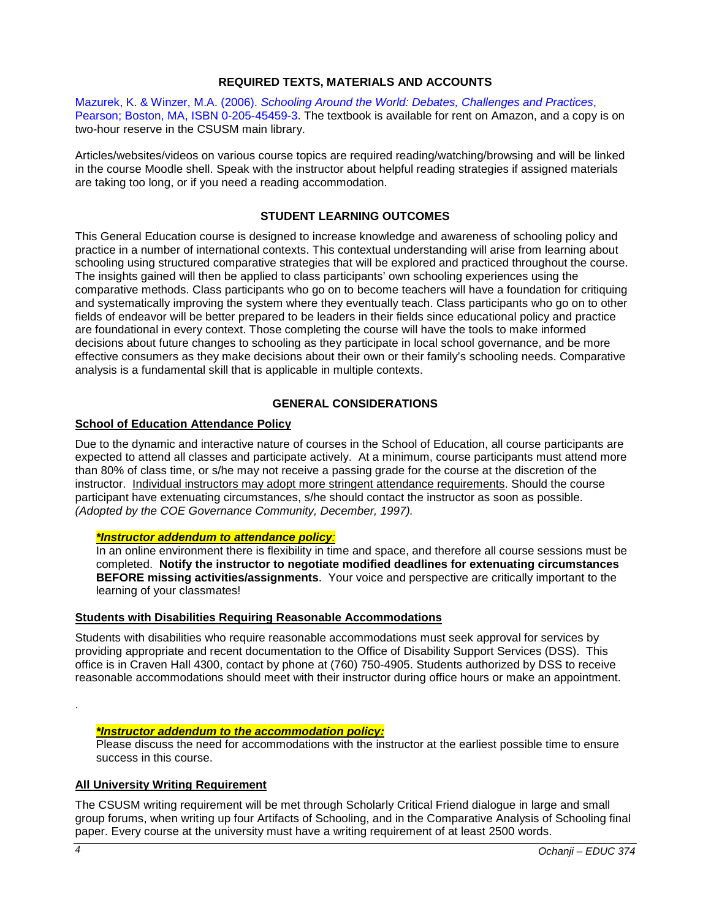## **REQUIRED TEXTS, MATERIALS AND ACCOUNTS**

<span id="page-3-0"></span>Mazurek, K. & Winzer, M.A. (2006). *Schooling Around the World: Debates, Challenges and Practices*, Pearson; Boston, MA, ISBN 0-205-45459-3. The textbook is available for rent on Amazon, and a copy is on two-hour reserve in the CSUSM main library.

Articles/websites/videos on various course topics are required reading/watching/browsing and will be linked in the course Moodle shell. Speak with the instructor about helpful reading strategies if assigned materials are taking too long, or if you need a reading accommodation.

## **STUDENT LEARNING OUTCOMES**

<span id="page-3-1"></span>This General Education course is designed to increase knowledge and awareness of schooling policy and practice in a number of international contexts. This contextual understanding will arise from learning about schooling using structured comparative strategies that will be explored and practiced throughout the course. The insights gained will then be applied to class participants' own schooling experiences using the comparative methods. Class participants who go on to become teachers will have a foundation for critiquing and systematically improving the system where they eventually teach. Class participants who go on to other fields of endeavor will be better prepared to be leaders in their fields since educational policy and practice are foundational in every context. Those completing the course will have the tools to make informed decisions about future changes to schooling as they participate in local school governance, and be more effective consumers as they make decisions about their own or their family's schooling needs. Comparative analysis is a fundamental skill that is applicable in multiple contexts.

## **GENERAL CONSIDERATIONS**

### <span id="page-3-3"></span><span id="page-3-2"></span>**School of Education Attendance Policy**

Due to the dynamic and interactive nature of courses in the School of Education, all course participants are expected to attend all classes and participate actively. At a minimum, course participants must attend more than 80% of class time, or s/he may not receive a passing grade for the course at the discretion of the instructor. Individual instructors may adopt more stringent attendance requirements. Should the course participant have extenuating circumstances, s/he should contact the instructor as soon as possible. *(Adopted by the COE Governance Community, December, 1997).*

### *\*Instructor addendum to attendance policy:*

In an online environment there is flexibility in time and space, and therefore all course sessions must be completed. **Notify the instructor to negotiate modified deadlines for extenuating circumstances BEFORE missing activities/assignments**. Your voice and perspective are critically important to the learning of your classmates!

#### <span id="page-3-4"></span>**Students with Disabilities Requiring Reasonable Accommodations**

Students with disabilities who require reasonable accommodations must seek approval for services by providing appropriate and recent documentation to the Office of Disability Support Services (DSS). This office is in Craven Hall 4300, contact by phone at (760) 750-4905. Students authorized by DSS to receive reasonable accommodations should meet with their instructor during office hours or make an appointment.

#### *\*Instructor addendum to the accommodation policy:*

Please discuss the need for accommodations with the instructor at the earliest possible time to ensure success in this course.

#### <span id="page-3-5"></span>**All University Writing Requirement**

The CSUSM writing requirement will be met through Scholarly Critical Friend dialogue in large and small group forums, when writing up four Artifacts of Schooling, and in the Comparative Analysis of Schooling final paper. Every course at the university must have a writing requirement of at least 2500 words.

.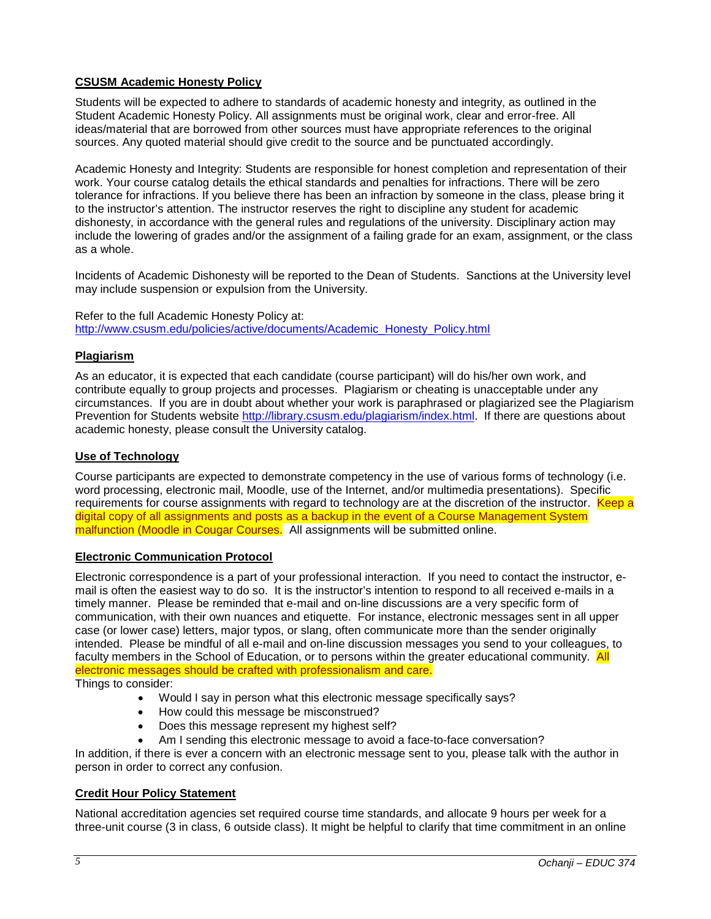## <span id="page-4-0"></span>**CSUSM Academic Honesty Policy**

Students will be expected to adhere to standards of academic honesty and integrity, as outlined in the Student Academic Honesty Policy. All assignments must be original work, clear and error-free. All ideas/material that are borrowed from other sources must have appropriate references to the original sources. Any quoted material should give credit to the source and be punctuated accordingly.

Academic Honesty and Integrity: Students are responsible for honest completion and representation of their work. Your course catalog details the ethical standards and penalties for infractions. There will be zero tolerance for infractions. If you believe there has been an infraction by someone in the class, please bring it to the instructor's attention. The instructor reserves the right to discipline any student for academic dishonesty, in accordance with the general rules and regulations of the university. Disciplinary action may include the lowering of grades and/or the assignment of a failing grade for an exam, assignment, or the class as a whole.

Incidents of Academic Dishonesty will be reported to the Dean of Students. Sanctions at the University level may include suspension or expulsion from the University.

Refer to the full Academic Honesty Policy at: [http://www.csusm.edu/policies/active/documents/Academic\\_Honesty\\_Policy.html](http://www.csusm.edu/policies/active/documents/Academic_Honesty_Policy.html)

### <span id="page-4-1"></span>**Plagiarism**

As an educator, it is expected that each candidate (course participant) will do his/her own work, and contribute equally to group projects and processes. Plagiarism or cheating is unacceptable under any circumstances. If you are in doubt about whether your work is paraphrased or plagiarized see the Plagiarism Prevention for Students website [http://library.csusm.edu/plagiarism/index.html.](http://library.csusm.edu/plagiarism/index.html) If there are questions about academic honesty, please consult the University catalog.

### <span id="page-4-2"></span>**Use of Technology**

Course participants are expected to demonstrate competency in the use of various forms of technology (i.e. word processing, electronic mail, Moodle, use of the Internet, and/or multimedia presentations). Specific requirements for course assignments with regard to technology are at the discretion of the instructor. Keep a digital copy of all assignments and posts as a backup in the event of a Course Management System malfunction (Moodle in Cougar Courses. All assignments will be submitted online.

#### <span id="page-4-3"></span>**Electronic Communication Protocol**

Electronic correspondence is a part of your professional interaction. If you need to contact the instructor, email is often the easiest way to do so. It is the instructor's intention to respond to all received e-mails in a timely manner. Please be reminded that e-mail and on-line discussions are a very specific form of communication, with their own nuances and etiquette. For instance, electronic messages sent in all upper case (or lower case) letters, major typos, or slang, often communicate more than the sender originally intended. Please be mindful of all e-mail and on-line discussion messages you send to your colleagues, to faculty members in the School of Education, or to persons within the greater educational community. All electronic messages should be crafted with professionalism and care.

Things to consider:

- Would I say in person what this electronic message specifically says?
- How could this message be misconstrued?
- Does this message represent my highest self?
- Am I sending this electronic message to avoid a face-to-face conversation?

In addition, if there is ever a concern with an electronic message sent to you, please talk with the author in person in order to correct any confusion.

#### <span id="page-4-4"></span>**Credit Hour Policy Statement**

National accreditation agencies set required course time standards, and allocate 9 hours per week for a three-unit course (3 in class, 6 outside class). It might be helpful to clarify that time commitment in an online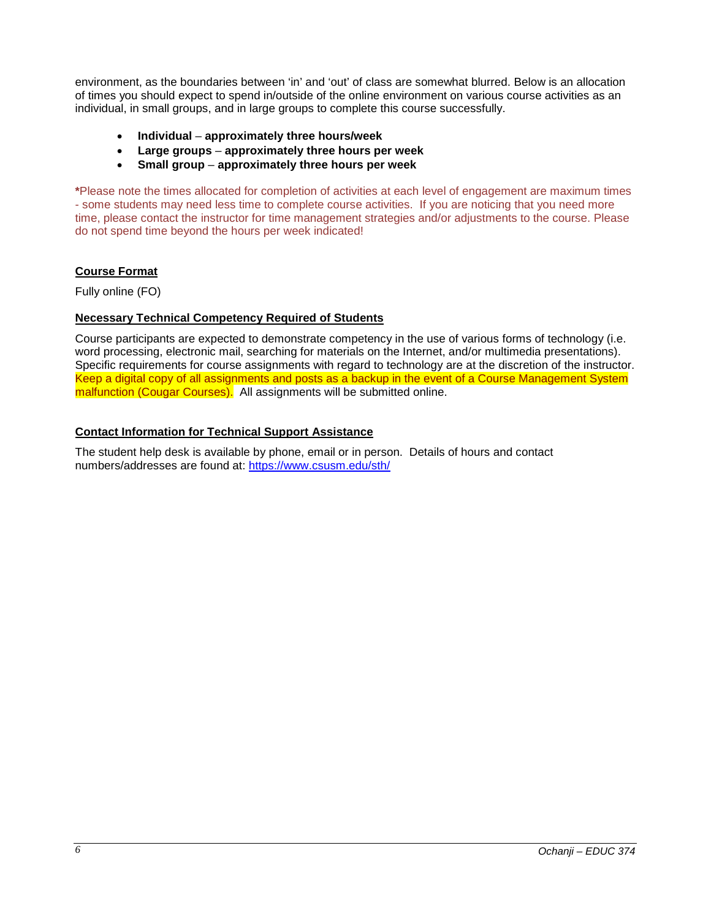environment, as the boundaries between 'in' and 'out' of class are somewhat blurred. Below is an allocation of times you should expect to spend in/outside of the online environment on various course activities as an individual, in small groups, and in large groups to complete this course successfully.

- **Individual approximately three hours/week**
- **Large groups approximately three hours per week**
- **Small group approximately three hours per week**

**\***Please note the times allocated for completion of activities at each level of engagement are maximum times - some students may need less time to complete course activities. If you are noticing that you need more time, please contact the instructor for time management strategies and/or adjustments to the course. Please do not spend time beyond the hours per week indicated!

## <span id="page-5-0"></span>**Course Format**

Fully online (FO)

## <span id="page-5-1"></span>**Necessary Technical Competency Required of Students**

Course participants are expected to demonstrate competency in the use of various forms of technology (i.e. word processing, electronic mail, searching for materials on the Internet, and/or multimedia presentations). Specific requirements for course assignments with regard to technology are at the discretion of the instructor. Keep a digital copy of all assignments and posts as a backup in the event of a Course Management System malfunction (Cougar Courses). All assignments will be submitted online.

## <span id="page-5-2"></span>**Contact Information for Technical Support Assistance**

The student help desk is available by phone, email or in person. Details of hours and contact numbers/addresses are found at:<https://www.csusm.edu/sth/>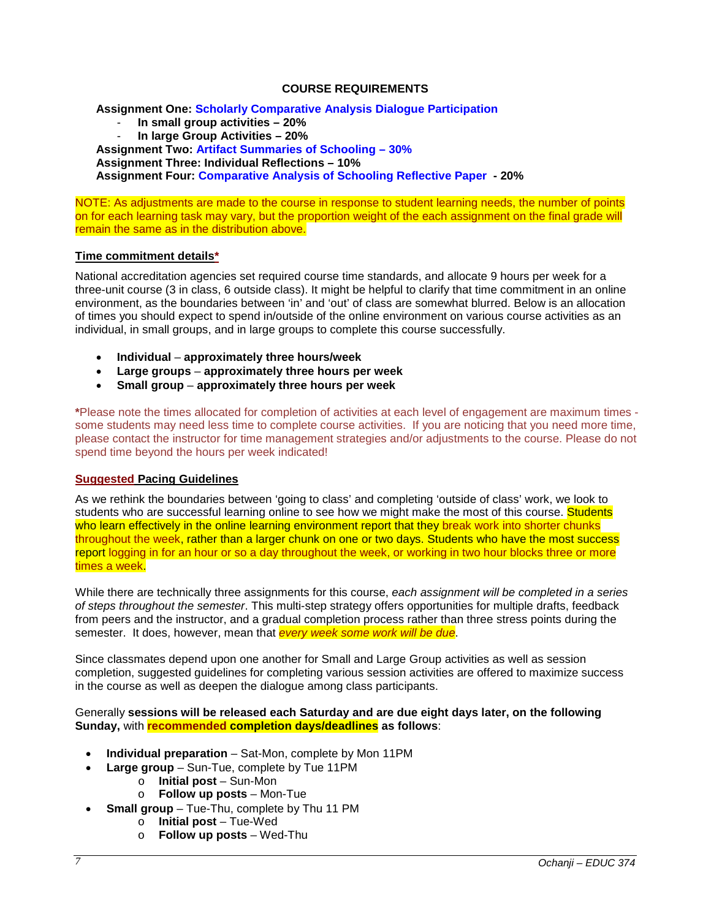### **COURSE REQUIREMENTS**

<span id="page-6-0"></span>**Assignment One: Scholarly Comparative Analysis Dialogue Participation** - **In small group activities – 20%**

- **In large Group Activities – 20%**

**Assignment Two: Artifact Summaries of Schooling – 30%**

**Assignment Three: Individual Reflections – 10%**

**Assignment Four: Comparative Analysis of Schooling Reflective Paper - 20%**

NOTE: As adjustments are made to the course in response to student learning needs, the number of points on for each learning task may vary, but the proportion weight of the each assignment on the final grade will remain the same as in the distribution above.

### <span id="page-6-1"></span>**Time commitment details\***

National accreditation agencies set required course time standards, and allocate 9 hours per week for a three-unit course (3 in class, 6 outside class). It might be helpful to clarify that time commitment in an online environment, as the boundaries between 'in' and 'out' of class are somewhat blurred. Below is an allocation of times you should expect to spend in/outside of the online environment on various course activities as an individual, in small groups, and in large groups to complete this course successfully.

- **Individual approximately three hours/week**
- **Large groups approximately three hours per week**
- **Small group approximately three hours per week**

**\***Please note the times allocated for completion of activities at each level of engagement are maximum times some students may need less time to complete course activities. If you are noticing that you need more time, please contact the instructor for time management strategies and/or adjustments to the course. Please do not spend time beyond the hours per week indicated!

## <span id="page-6-2"></span>**Suggested Pacing Guidelines**

As we rethink the boundaries between 'going to class' and completing 'outside of class' work, we look to students who are successful learning online to see how we might make the most of this course. Students who learn effectively in the online learning environment report that they break work into shorter chunks throughout the week, rather than a larger chunk on one or two days. Students who have the most success report logging in for an hour or so a day throughout the week, or working in two hour blocks three or more times a week.

While there are technically three assignments for this course, *each assignment will be completed in a series of steps throughout the semester*. This multi-step strategy offers opportunities for multiple drafts, feedback from peers and the instructor, and a gradual completion process rather than three stress points during the semester. It does, however, mean that *every week some work will be due*.

Since classmates depend upon one another for Small and Large Group activities as well as session completion, suggested guidelines for completing various session activities are offered to maximize success in the course as well as deepen the dialogue among class participants.

Generally **sessions will be released each Saturday and are due eight days later, on the following Sunday,** with **recommended completion days/deadlines as follows**:

- **Individual preparation** Sat-Mon, complete by Mon 11PM
- **Large group**  Sun-Tue, complete by Tue 11PM
	- o **Initial post** Sun-Mon
		- o **Follow up posts** Mon-Tue
- **Small group** Tue-Thu, complete by Thu 11 PM
	- o **Initial post**  Tue-Wed
	- o **Follow up posts**  Wed-Thu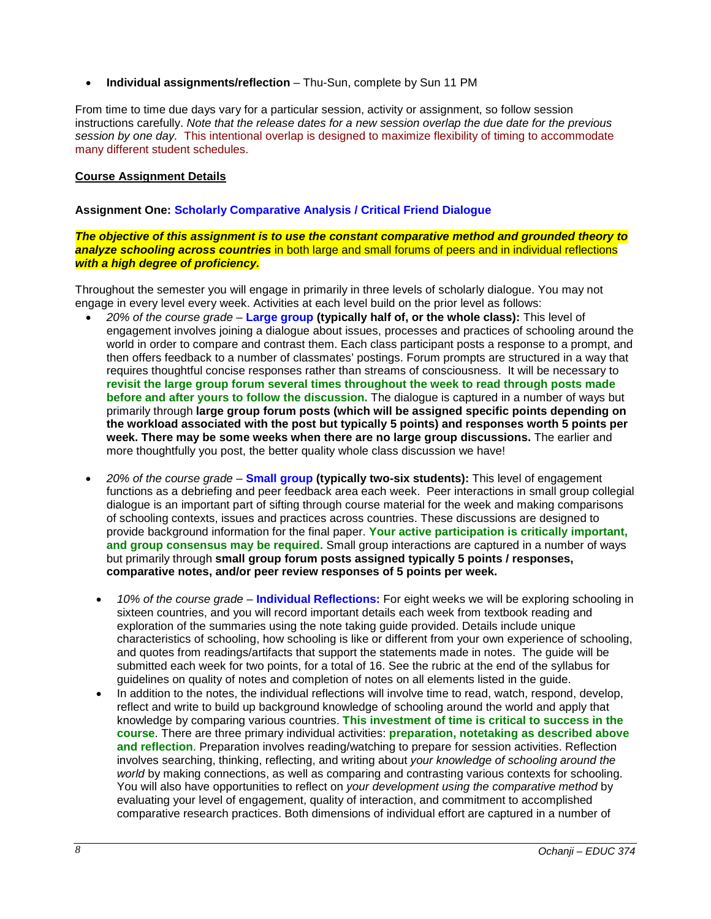• **Individual assignments/reflection** – Thu-Sun, complete by Sun 11 PM

From time to time due days vary for a particular session, activity or assignment, so follow session instructions carefully. *Note that the release dates for a new session overlap the due date for the previous session by one day.* This intentional overlap is designed to maximize flexibility of timing to accommodate many different student schedules.

### <span id="page-7-0"></span>**Course Assignment Details**

### **Assignment One: Scholarly Comparative Analysis / Critical Friend Dialogue**

#### *The objective of this assignment is to use the constant comparative method and grounded theory to analyze schooling across countries* in both large and small forums of peers and in individual reflections *with a high degree of proficiency.*

Throughout the semester you will engage in primarily in three levels of scholarly dialogue. You may not engage in every level every week. Activities at each level build on the prior level as follows:

- *20% of the course grade* **Large group (typically half of, or the whole class):** This level of engagement involves joining a dialogue about issues, processes and practices of schooling around the world in order to compare and contrast them. Each class participant posts a response to a prompt, and then offers feedback to a number of classmates' postings. Forum prompts are structured in a way that requires thoughtful concise responses rather than streams of consciousness. It will be necessary to **revisit the large group forum several times throughout the week to read through posts made before and after yours to follow the discussion.** The dialogue is captured in a number of ways but primarily through **large group forum posts (which will be assigned specific points depending on the workload associated with the post but typically 5 points) and responses worth 5 points per week. There may be some weeks when there are no large group discussions.** The earlier and more thoughtfully you post, the better quality whole class discussion we have!
- *20% of the course grade* **Small group (typically two-six students):** This level of engagement functions as a debriefing and peer feedback area each week. Peer interactions in small group collegial dialogue is an important part of sifting through course material for the week and making comparisons of schooling contexts, issues and practices across countries. These discussions are designed to provide background information for the final paper. **Your active participation is critically important, and group consensus may be required.** Small group interactions are captured in a number of ways but primarily through **small group forum posts assigned typically 5 points / responses, comparative notes, and/or peer review responses of 5 points per week.** 
	- *10% of the course grade* **Individual Reflections:** For eight weeks we will be exploring schooling in sixteen countries, and you will record important details each week from textbook reading and exploration of the summaries using the note taking guide provided. Details include unique characteristics of schooling, how schooling is like or different from your own experience of schooling, and quotes from readings/artifacts that support the statements made in notes. The guide will be submitted each week for two points, for a total of 16. See the rubric at the end of the syllabus for guidelines on quality of notes and completion of notes on all elements listed in the guide.
	- In addition to the notes, the individual reflections will involve time to read, watch, respond, develop, reflect and write to build up background knowledge of schooling around the world and apply that knowledge by comparing various countries. **This investment of time is critical to success in the course**. There are three primary individual activities: **preparation, notetaking as described above and reflection**. Preparation involves reading/watching to prepare for session activities. Reflection involves searching, thinking, reflecting, and writing about *your knowledge of schooling around the world* by making connections, as well as comparing and contrasting various contexts for schooling. You will also have opportunities to reflect on *your development using the comparative method* by evaluating your level of engagement, quality of interaction, and commitment to accomplished comparative research practices. Both dimensions of individual effort are captured in a number of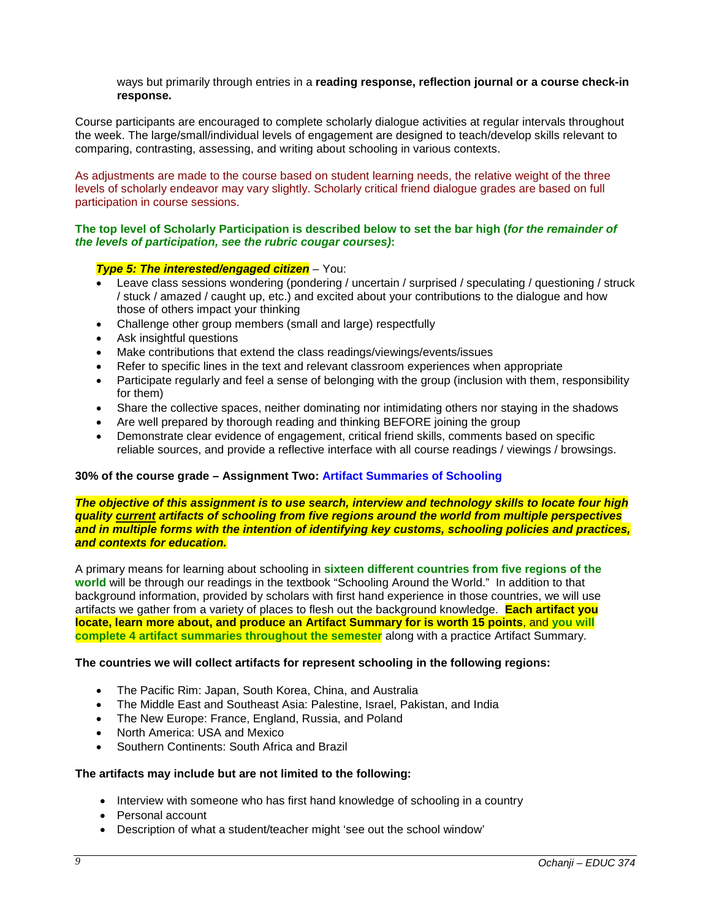ways but primarily through entries in a **reading response, reflection journal or a course check-in response.** 

Course participants are encouraged to complete scholarly dialogue activities at regular intervals throughout the week. The large/small/individual levels of engagement are designed to teach/develop skills relevant to comparing, contrasting, assessing, and writing about schooling in various contexts.

As adjustments are made to the course based on student learning needs, the relative weight of the three levels of scholarly endeavor may vary slightly. Scholarly critical friend dialogue grades are based on full participation in course sessions.

#### **The top level of Scholarly Participation is described below to set the bar high (***for the remainder of the levels of participation, see the rubric cougar courses)***:**

## *Type 5: The interested/engaged citizen* – You:

- Leave class sessions wondering (pondering / uncertain / surprised / speculating / questioning / struck / stuck / amazed / caught up, etc.) and excited about your contributions to the dialogue and how those of others impact your thinking
- Challenge other group members (small and large) respectfully
- Ask insightful questions
- Make contributions that extend the class readings/viewings/events/issues
- Refer to specific lines in the text and relevant classroom experiences when appropriate
- Participate regularly and feel a sense of belonging with the group (inclusion with them, responsibility for them)
- Share the collective spaces, neither dominating nor intimidating others nor staying in the shadows
- Are well prepared by thorough reading and thinking BEFORE joining the group
- Demonstrate clear evidence of engagement, critical friend skills, comments based on specific reliable sources, and provide a reflective interface with all course readings / viewings / browsings.

#### **30% of the course grade – Assignment Two: Artifact Summaries of Schooling**

*The objective of this assignment is to use search, interview and technology skills to locate four high quality current artifacts of schooling from five regions around the world from multiple perspectives and in multiple forms with the intention of identifying key customs, schooling policies and practices, and contexts for education.*

A primary means for learning about schooling in **sixteen different countries from five regions of the world** will be through our readings in the textbook "Schooling Around the World." In addition to that background information, provided by scholars with first hand experience in those countries, we will use artifacts we gather from a variety of places to flesh out the background knowledge. **Each artifact you locate, learn more about, and produce an Artifact Summary for is worth 15 points**, and **you will complete 4 artifact summaries throughout the semester** along with a practice Artifact Summary.

#### **The countries we will collect artifacts for represent schooling in the following regions:**

- The Pacific Rim: Japan, South Korea, China, and Australia
- The Middle East and Southeast Asia: Palestine, Israel, Pakistan, and India
- The New Europe: France, England, Russia, and Poland
- North America: USA and Mexico
- Southern Continents: South Africa and Brazil

#### **The artifacts may include but are not limited to the following:**

- Interview with someone who has first hand knowledge of schooling in a country
- Personal account
- Description of what a student/teacher might 'see out the school window'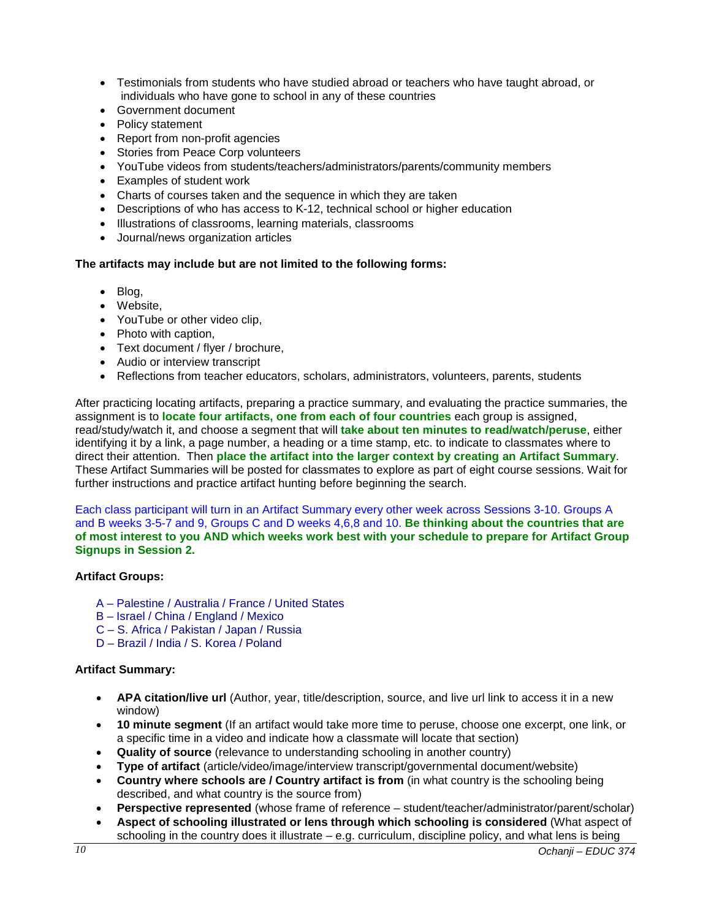- Testimonials from students who have studied abroad or teachers who have taught abroad, or individuals who have gone to school in any of these countries
- Government document
- Policy statement
- Report from non-profit agencies
- Stories from Peace Corp volunteers
- YouTube videos from students/teachers/administrators/parents/community members
- Examples of student work
- Charts of courses taken and the sequence in which they are taken
- Descriptions of who has access to K-12, technical school or higher education
- Illustrations of classrooms, learning materials, classrooms
- Journal/news organization articles

## **The artifacts may include but are not limited to the following forms:**

- Blog,
- Website,
- YouTube or other video clip,
- Photo with caption.
- Text document / flyer / brochure,
- Audio or interview transcript
- Reflections from teacher educators, scholars, administrators, volunteers, parents, students

After practicing locating artifacts, preparing a practice summary, and evaluating the practice summaries, the assignment is to **locate four artifacts, one from each of four countries** each group is assigned, read/study/watch it, and choose a segment that will **take about ten minutes to read/watch/peruse**, either identifying it by a link, a page number, a heading or a time stamp, etc. to indicate to classmates where to direct their attention. Then **place the artifact into the larger context by creating an Artifact Summary**. These Artifact Summaries will be posted for classmates to explore as part of eight course sessions. Wait for further instructions and practice artifact hunting before beginning the search.

Each class participant will turn in an Artifact Summary every other week across Sessions 3-10. Groups A and B weeks 3-5-7 and 9, Groups C and D weeks 4,6,8 and 10. **Be thinking about the countries that are of most interest to you AND which weeks work best with your schedule to prepare for Artifact Group Signups in Session 2.**

## **Artifact Groups:**

- A Palestine / Australia / France / United States
- B Israel / China / England / Mexico
- C S. Africa / Pakistan / Japan / Russia
- D Brazil / India / S. Korea / Poland

## **Artifact Summary:**

- **APA citation/live url** (Author, year, title/description, source, and live url link to access it in a new window)
- **10 minute segment** (If an artifact would take more time to peruse, choose one excerpt, one link, or a specific time in a video and indicate how a classmate will locate that section)
- **Quality of source** (relevance to understanding schooling in another country)
- **Type of artifact** (article/video/image/interview transcript/governmental document/website)
- **Country where schools are / Country artifact is from** (in what country is the schooling being described, and what country is the source from)
- **Perspective represented** (whose frame of reference student/teacher/administrator/parent/scholar)
- **Aspect of schooling illustrated or lens through which schooling is considered** (What aspect of schooling in the country does it illustrate – e.g. curriculum, discipline policy, and what lens is being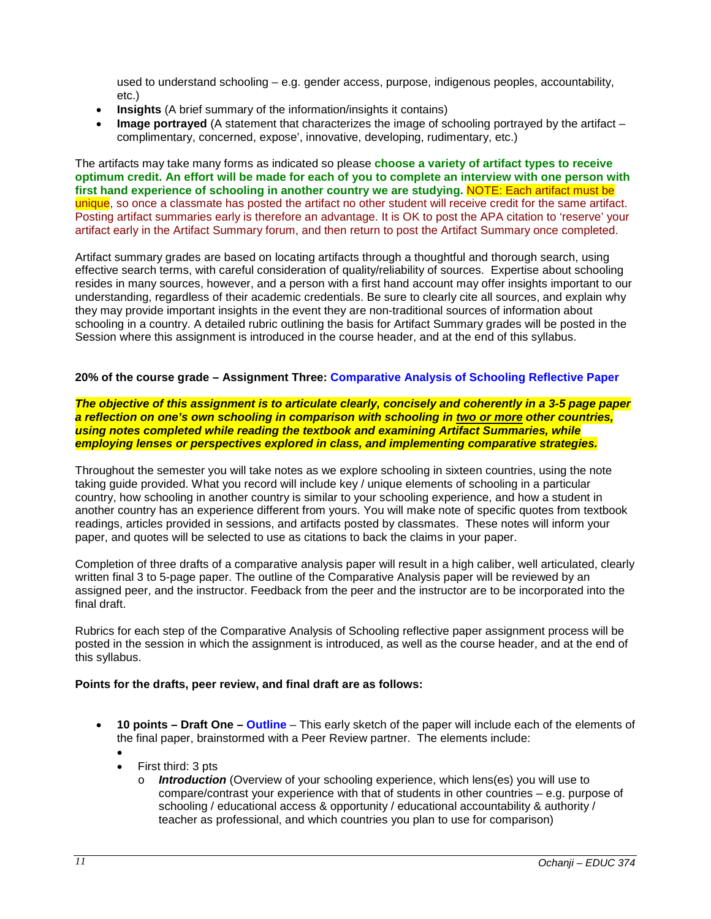used to understand schooling – e.g. gender access, purpose, indigenous peoples, accountability, etc.)

- **Insights** (A brief summary of the information/insights it contains)
- **Image portrayed** (A statement that characterizes the image of schooling portrayed by the artifact complimentary, concerned, expose', innovative, developing, rudimentary, etc.)

The artifacts may take many forms as indicated so please **choose a variety of artifact types to receive optimum credit. An effort will be made for each of you to complete an interview with one person with first hand experience of schooling in another country we are studying.** NOTE: Each artifact must be unique, so once a classmate has posted the artifact no other student will receive credit for the same artifact. Posting artifact summaries early is therefore an advantage. It is OK to post the APA citation to 'reserve' your artifact early in the Artifact Summary forum, and then return to post the Artifact Summary once completed.

Artifact summary grades are based on locating artifacts through a thoughtful and thorough search, using effective search terms, with careful consideration of quality/reliability of sources. Expertise about schooling resides in many sources, however, and a person with a first hand account may offer insights important to our understanding, regardless of their academic credentials. Be sure to clearly cite all sources, and explain why they may provide important insights in the event they are non-traditional sources of information about schooling in a country. A detailed rubric outlining the basis for Artifact Summary grades will be posted in the Session where this assignment is introduced in the course header, and at the end of this syllabus.

### **20% of the course grade – Assignment Three: Comparative Analysis of Schooling Reflective Paper**

#### *The objective of this assignment is to articulate clearly, concisely and coherently in a 3-5 page paper a reflection on one's own schooling in comparison with schooling in two or more other countries, using notes completed while reading the textbook and examining Artifact Summaries, while employing lenses or perspectives explored in class, and implementing comparative strategies.*

Throughout the semester you will take notes as we explore schooling in sixteen countries, using the note taking guide provided. What you record will include key / unique elements of schooling in a particular country, how schooling in another country is similar to your schooling experience, and how a student in another country has an experience different from yours. You will make note of specific quotes from textbook readings, articles provided in sessions, and artifacts posted by classmates. These notes will inform your paper, and quotes will be selected to use as citations to back the claims in your paper.

Completion of three drafts of a comparative analysis paper will result in a high caliber, well articulated, clearly written final 3 to 5-page paper. The outline of the Comparative Analysis paper will be reviewed by an assigned peer, and the instructor. Feedback from the peer and the instructor are to be incorporated into the final draft.

Rubrics for each step of the Comparative Analysis of Schooling reflective paper assignment process will be posted in the session in which the assignment is introduced, as well as the course header, and at the end of this syllabus.

#### **Points for the drafts, peer review, and final draft are as follows:**

- **10 points – Draft One – Outline** This early sketch of the paper will include each of the elements of the final paper, brainstormed with a Peer Review partner. The elements include:
	- •
	- First third: 3 pts
		- o *Introduction* (Overview of your schooling experience, which lens(es) you will use to compare/contrast your experience with that of students in other countries – e.g. purpose of schooling / educational access & opportunity / educational accountability & authority / teacher as professional, and which countries you plan to use for comparison)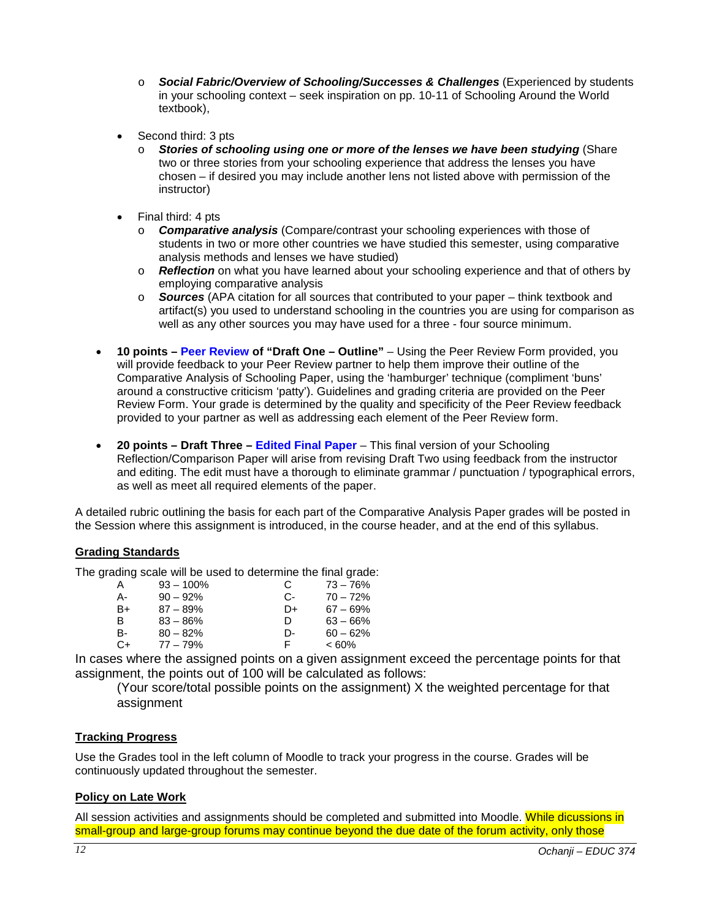- o *Social Fabric/Overview of Schooling/Successes & Challenges* (Experienced by students in your schooling context – seek inspiration on pp. 10-11 of Schooling Around the World textbook),
- Second third: 3 pts
	- o *Stories of schooling using one or more of the lenses we have been studying* (Share two or three stories from your schooling experience that address the lenses you have chosen – if desired you may include another lens not listed above with permission of the instructor)
- Final third: 4 pts
	- o *Comparative analysis* (Compare/contrast your schooling experiences with those of students in two or more other countries we have studied this semester, using comparative analysis methods and lenses we have studied)
	- o *Reflection* on what you have learned about your schooling experience and that of others by employing comparative analysis
	- o *Sources* (APA citation for all sources that contributed to your paper think textbook and artifact(s) you used to understand schooling in the countries you are using for comparison as well as any other sources you may have used for a three - four source minimum.
- **10 points – Peer Review of "Draft One – Outline"** Using the Peer Review Form provided, you will provide feedback to your Peer Review partner to help them improve their outline of the Comparative Analysis of Schooling Paper, using the 'hamburger' technique (compliment 'buns' around a constructive criticism 'patty'). Guidelines and grading criteria are provided on the Peer Review Form. Your grade is determined by the quality and specificity of the Peer Review feedback provided to your partner as well as addressing each element of the Peer Review form.
- **20 points – Draft Three – Edited Final Paper** This final version of your Schooling Reflection/Comparison Paper will arise from revising Draft Two using feedback from the instructor and editing. The edit must have a thorough to eliminate grammar / punctuation / typographical errors, as well as meet all required elements of the paper.

A detailed rubric outlining the basis for each part of the Comparative Analysis Paper grades will be posted in the Session where this assignment is introduced, in the course header, and at the end of this syllabus.

## <span id="page-11-0"></span>**Grading Standards**

The grading scale will be used to determine the final grade:

| A    | $93 - 100\%$ | C    | $73 - 76%$ |
|------|--------------|------|------------|
| А-   | $90 - 92%$   | $C-$ | $70 - 72%$ |
| B+   | $87 - 89%$   | D+   | $67 - 69%$ |
| B    | $83 - 86%$   | D    | $63 - 66%$ |
| B-   | $80 - 82%$   | D-   | $60 - 62%$ |
| $C+$ | $77 - 79%$   | F.   | $<60\%$    |
|      |              |      |            |

In cases where the assigned points on a given assignment exceed the percentage points for that assignment, the points out of 100 will be calculated as follows:

(Your score/total possible points on the assignment) X the weighted percentage for that assignment

#### <span id="page-11-1"></span>**Tracking Progress**

Use the Grades tool in the left column of Moodle to track your progress in the course. Grades will be continuously updated throughout the semester.

## <span id="page-11-2"></span>**Policy on Late Work**

All session activities and assignments should be completed and submitted into Moodle. While dicussions in small-group and large-group forums may continue beyond the due date of the forum activity, only those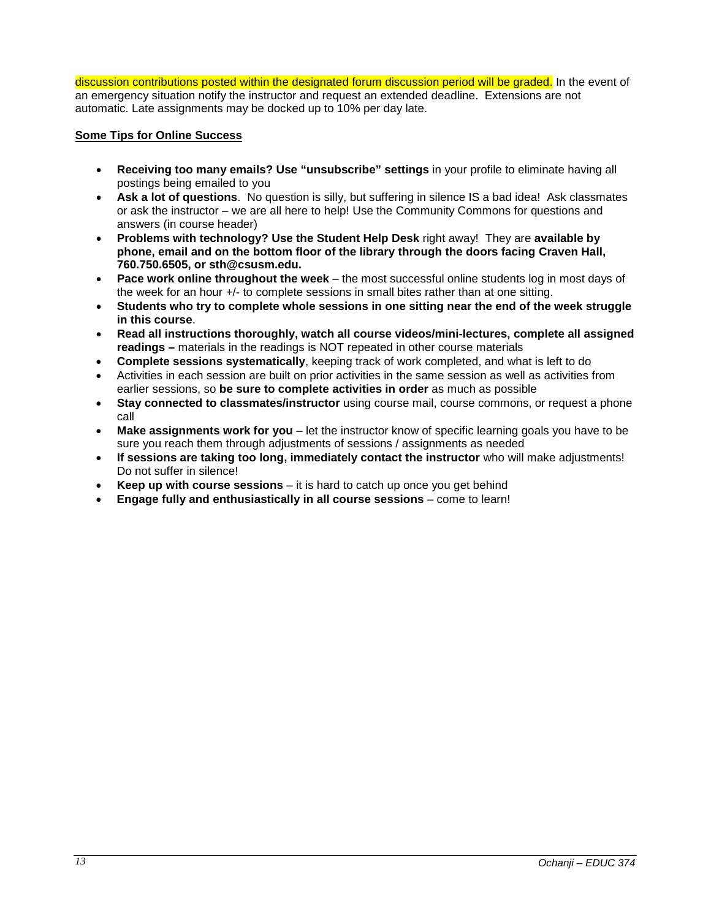discussion contributions posted within the designated forum discussion period will be graded. In the event of an emergency situation notify the instructor and request an extended deadline. Extensions are not automatic. Late assignments may be docked up to 10% per day late.

### <span id="page-12-0"></span>**Some Tips for Online Success**

- **Receiving too many emails? Use "unsubscribe" settings** in your profile to eliminate having all postings being emailed to you
- **Ask a lot of questions**. No question is silly, but suffering in silence IS a bad idea! Ask classmates or ask the instructor – we are all here to help! Use the Community Commons for questions and answers (in course header)
- **Problems with technology? Use the Student Help Desk** right away! They are **available by phone, email and on the bottom floor of the library through the doors facing Craven Hall, 760.750.6505, or sth@csusm.edu.**
- **Pace work online throughout the week** the most successful online students log in most days of the week for an hour +/- to complete sessions in small bites rather than at one sitting.
- **Students who try to complete whole sessions in one sitting near the end of the week struggle in this course**.
- **Read all instructions thoroughly, watch all course videos/mini-lectures, complete all assigned readings –** materials in the readings is NOT repeated in other course materials
- **Complete sessions systematically**, keeping track of work completed, and what is left to do
- Activities in each session are built on prior activities in the same session as well as activities from earlier sessions, so **be sure to complete activities in order** as much as possible
- **Stay connected to classmates/instructor** using course mail, course commons, or request a phone call
- **Make assignments work for you** let the instructor know of specific learning goals you have to be sure you reach them through adjustments of sessions / assignments as needed
- **If sessions are taking too long, immediately contact the instructor** who will make adjustments! Do not suffer in silence!
- **Keep up with course sessions** it is hard to catch up once you get behind
- **Engage fully and enthusiastically in all course sessions** come to learn!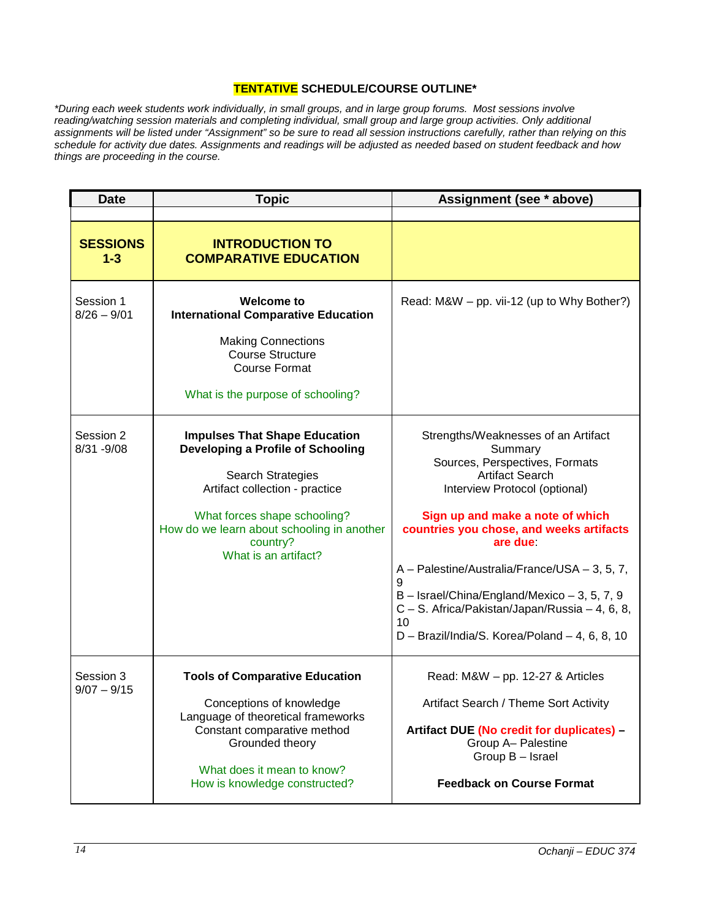## **TENTATIVE SCHEDULE/COURSE OUTLINE\***

<span id="page-13-0"></span>*\*During each week students work individually, in small groups, and in large group forums. Most sessions involve reading/watching session materials and completing individual, small group and large group activities. Only additional assignments will be listed under "Assignment" so be sure to read all session instructions carefully, rather than relying on this schedule for activity due dates. Assignments and readings will be adjusted as needed based on student feedback and how things are proceeding in the course.*

| <b>Date</b>                | <b>Topic</b>                                                                                                                                                                                                                                       | Assignment (see * above)                                                                                                                                                                                                                                                                                                                                                                                                                                    |
|----------------------------|----------------------------------------------------------------------------------------------------------------------------------------------------------------------------------------------------------------------------------------------------|-------------------------------------------------------------------------------------------------------------------------------------------------------------------------------------------------------------------------------------------------------------------------------------------------------------------------------------------------------------------------------------------------------------------------------------------------------------|
|                            |                                                                                                                                                                                                                                                    |                                                                                                                                                                                                                                                                                                                                                                                                                                                             |
| <b>SESSIONS</b><br>$1 - 3$ | <b>INTRODUCTION TO</b><br><b>COMPARATIVE EDUCATION</b>                                                                                                                                                                                             |                                                                                                                                                                                                                                                                                                                                                                                                                                                             |
| Session 1<br>$8/26 - 9/01$ | <b>Welcome to</b><br><b>International Comparative Education</b><br><b>Making Connections</b><br><b>Course Structure</b><br><b>Course Format</b><br>What is the purpose of schooling?                                                               | Read: M&W - pp. vii-12 (up to Why Bother?)                                                                                                                                                                                                                                                                                                                                                                                                                  |
| Session 2<br>$8/31 - 9/08$ | <b>Impulses That Shape Education</b><br>Developing a Profile of Schooling<br>Search Strategies<br>Artifact collection - practice<br>What forces shape schooling?<br>How do we learn about schooling in another<br>country?<br>What is an artifact? | Strengths/Weaknesses of an Artifact<br>Summary<br>Sources, Perspectives, Formats<br><b>Artifact Search</b><br>Interview Protocol (optional)<br>Sign up and make a note of which<br>countries you chose, and weeks artifacts<br>are due:<br>A - Palestine/Australia/France/USA - 3, 5, 7,<br>9<br>$B -$ Israel/China/England/Mexico $-3$ , 5, 7, 9<br>C - S. Africa/Pakistan/Japan/Russia - 4, 6, 8,<br>10<br>D - Brazil/India/S. Korea/Poland - 4, 6, 8, 10 |
| Session 3<br>$9/07 - 9/15$ | <b>Tools of Comparative Education</b><br>Conceptions of knowledge<br>Language of theoretical frameworks<br>Constant comparative method<br>Grounded theory<br>What does it mean to know?<br>How is knowledge constructed?                           | Read: $M&W - pp. 12-27 & Articles$<br>Artifact Search / Theme Sort Activity<br>Artifact DUE (No credit for duplicates) -<br>Group A- Palestine<br>Group B - Israel<br><b>Feedback on Course Format</b>                                                                                                                                                                                                                                                      |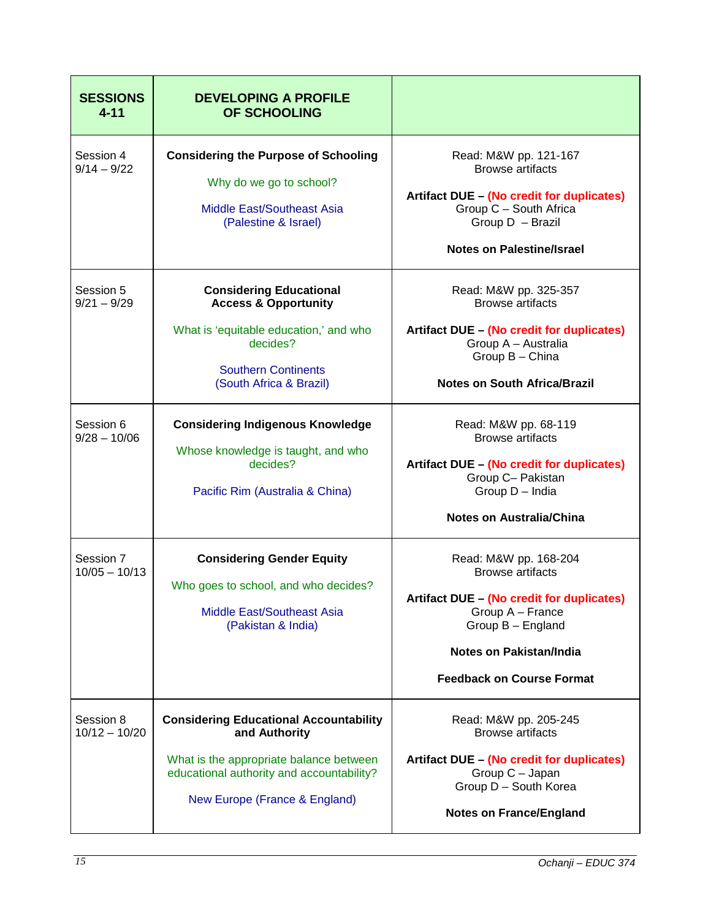| <b>SESSIONS</b><br>$4 - 11$  | <b>DEVELOPING A PROFILE</b><br><b>OF SCHOOLING</b>                                                                                                                                      |                                                                                                                                                                                                       |
|------------------------------|-----------------------------------------------------------------------------------------------------------------------------------------------------------------------------------------|-------------------------------------------------------------------------------------------------------------------------------------------------------------------------------------------------------|
| Session 4<br>$9/14 - 9/22$   | <b>Considering the Purpose of Schooling</b><br>Why do we go to school?<br><b>Middle East/Southeast Asia</b><br>(Palestine & Israel)                                                     | Read: M&W pp. 121-167<br><b>Browse artifacts</b><br>Artifact DUE - (No credit for duplicates)<br>Group C - South Africa<br>Group D - Brazil<br><b>Notes on Palestine/Israel</b>                       |
| Session 5<br>$9/21 - 9/29$   | <b>Considering Educational</b><br><b>Access &amp; Opportunity</b><br>What is 'equitable education,' and who<br>decides?<br><b>Southern Continents</b><br>(South Africa & Brazil)        | Read: M&W pp. 325-357<br><b>Browse artifacts</b><br>Artifact DUE - (No credit for duplicates)<br>Group A - Australia<br>Group B - China<br><b>Notes on South Africa/Brazil</b>                        |
| Session 6<br>$9/28 - 10/06$  | <b>Considering Indigenous Knowledge</b><br>Whose knowledge is taught, and who<br>decides?<br>Pacific Rim (Australia & China)                                                            | Read: M&W pp. 68-119<br><b>Browse artifacts</b><br>Artifact DUE - (No credit for duplicates)<br>Group C- Pakistan<br>Group D - India<br><b>Notes on Australia/China</b>                               |
| Session 7<br>$10/05 - 10/13$ | <b>Considering Gender Equity</b><br>Who goes to school, and who decides?<br><b>Middle East/Southeast Asia</b><br>(Pakistan & India)                                                     | Read: M&W pp. 168-204<br><b>Browse artifacts</b><br>Artifact DUE - (No credit for duplicates)<br>Group A - France<br>Group B - England<br>Notes on Pakistan/India<br><b>Feedback on Course Format</b> |
| Session 8<br>$10/12 - 10/20$ | <b>Considering Educational Accountability</b><br>and Authority<br>What is the appropriate balance between<br>educational authority and accountability?<br>New Europe (France & England) | Read: M&W pp. 205-245<br><b>Browse artifacts</b><br>Artifact DUE - (No credit for duplicates)<br>Group C - Japan<br>Group D - South Korea<br><b>Notes on France/England</b>                           |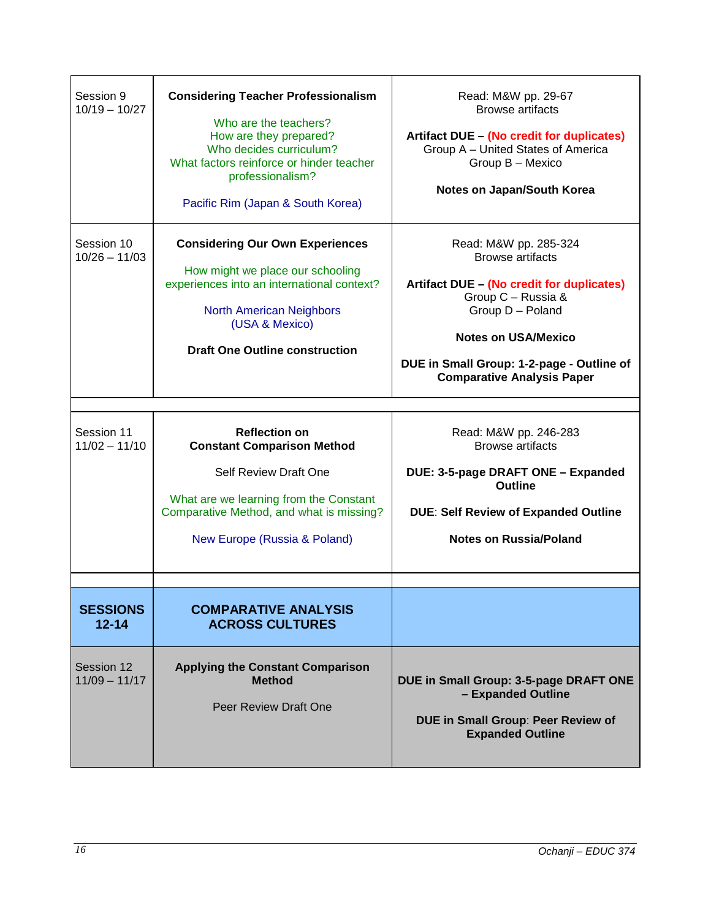| Session 9<br>$10/19 - 10/27$  | <b>Considering Teacher Professionalism</b><br>Who are the teachers?<br>How are they prepared?<br>Who decides curriculum?<br>What factors reinforce or hinder teacher<br>professionalism?<br>Pacific Rim (Japan & South Korea) | Read: M&W pp. 29-67<br><b>Browse artifacts</b><br>Artifact DUE - (No credit for duplicates)<br>Group A - United States of America<br>Group B - Mexico<br>Notes on Japan/South Korea                                                                     |
|-------------------------------|-------------------------------------------------------------------------------------------------------------------------------------------------------------------------------------------------------------------------------|---------------------------------------------------------------------------------------------------------------------------------------------------------------------------------------------------------------------------------------------------------|
| Session 10<br>$10/26 - 11/03$ | <b>Considering Our Own Experiences</b><br>How might we place our schooling<br>experiences into an international context?<br><b>North American Neighbors</b><br>(USA & Mexico)<br><b>Draft One Outline construction</b>        | Read: M&W pp. 285-324<br><b>Browse artifacts</b><br>Artifact DUE - (No credit for duplicates)<br>Group C - Russia &<br>Group D - Poland<br><b>Notes on USA/Mexico</b><br>DUE in Small Group: 1-2-page - Outline of<br><b>Comparative Analysis Paper</b> |
| Session 11<br>$11/02 - 11/10$ | <b>Reflection on</b><br><b>Constant Comparison Method</b><br>Self Review Draft One<br>What are we learning from the Constant                                                                                                  | Read: M&W pp. 246-283<br><b>Browse artifacts</b><br>DUE: 3-5-page DRAFT ONE - Expanded<br><b>Outline</b>                                                                                                                                                |
|                               | Comparative Method, and what is missing?<br>New Europe (Russia & Poland)                                                                                                                                                      | <b>DUE: Self Review of Expanded Outline</b><br><b>Notes on Russia/Poland</b>                                                                                                                                                                            |
| <b>SESSIONS</b><br>$12 - 14$  | <b>COMPARATIVE ANALYSIS</b><br><b>ACROSS CULTURES</b>                                                                                                                                                                         |                                                                                                                                                                                                                                                         |
| Session 12<br>$11/09 - 11/17$ | <b>Applying the Constant Comparison</b><br><b>Method</b><br>Peer Review Draft One                                                                                                                                             | DUE in Small Group: 3-5-page DRAFT ONE<br>- Expanded Outline<br>DUE in Small Group: Peer Review of<br><b>Expanded Outline</b>                                                                                                                           |